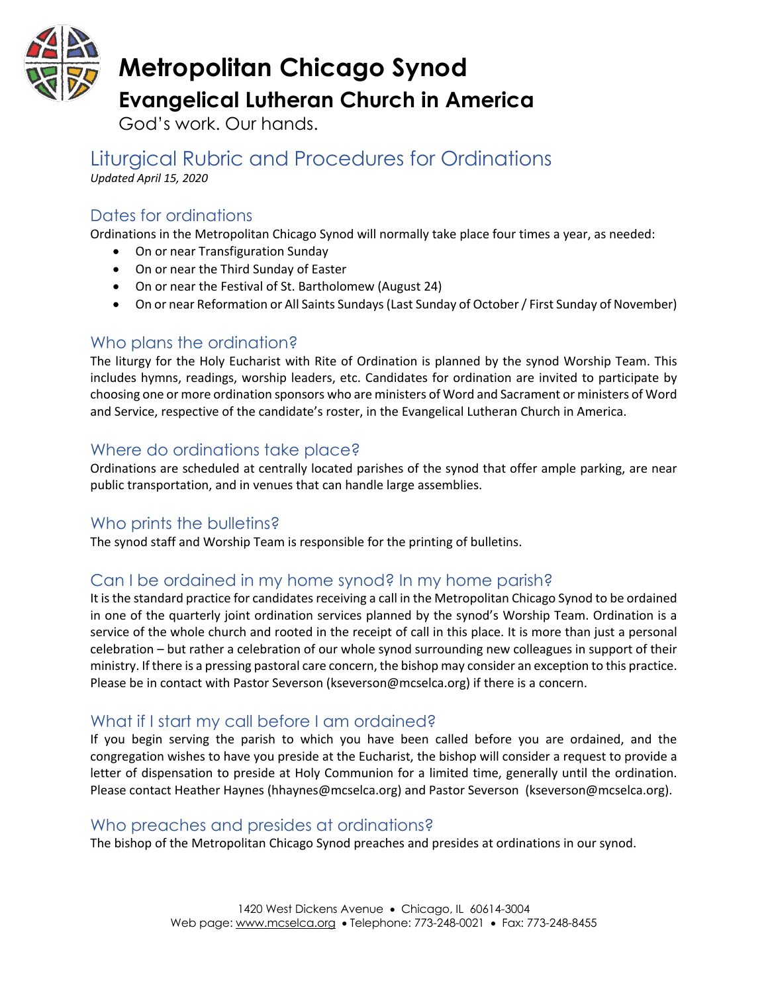

# **Metropolitan Chicago Synod Evangelical Lutheran Church in America**

God's work. Our hands.

Liturgical Rubric and Procedures for Ordinations *Updated April 15, 2020*

# Dates for ordinations

Ordinations in the Metropolitan Chicago Synod will normally take place four times a year, as needed:

- On or near Transfiguration Sunday
- On or near the Third Sunday of Easter
- On or near the Festival of St. Bartholomew (August 24)
- On or near Reformation or All Saints Sundays (Last Sunday of October / First Sunday of November)

# Who plans the ordination?

The liturgy for the Holy Eucharist with Rite of Ordination is planned by the synod Worship Team. This includes hymns, readings, worship leaders, etc. Candidates for ordination are invited to participate by choosing one or more ordination sponsors who are ministers of Word and Sacrament or ministers of Word and Service, respective of the candidate's roster, in the Evangelical Lutheran Church in America.

# Where do ordinations take place?

Ordinations are scheduled at centrally located parishes of the synod that offer ample parking, are near public transportation, and in venues that can handle large assemblies.

#### Who prints the bulletins?

The synod staff and Worship Team is responsible for the printing of bulletins.

# Can I be ordained in my home synod? In my home parish?

It is the standard practice for candidates receiving a call in the Metropolitan Chicago Synod to be ordained in one of the quarterly joint ordination services planned by the synod's Worship Team. Ordination is a service of the whole church and rooted in the receipt of call in this place. It is more than just a personal celebration – but rather a celebration of our whole synod surrounding new colleagues in support of their ministry. If there is a pressing pastoral care concern, the bishop may consider an exception to this practice. Please be in contact with Pastor Severson (kseverson@mcselca.org) if there is a concern.

# What if I start my call before I am ordained?

If you begin serving the parish to which you have been called before you are ordained, and the congregation wishes to have you preside at the Eucharist, the bishop will consider a request to provide a letter of dispensation to preside at Holy Communion for a limited time, generally until the ordination. Please contact Heather Haynes (hhaynes@mcselca.org) and Pastor Severson (kseverson@mcselca.org).

#### Who preaches and presides at ordinations?

The bishop of the Metropolitan Chicago Synod preaches and presides at ordinations in our synod.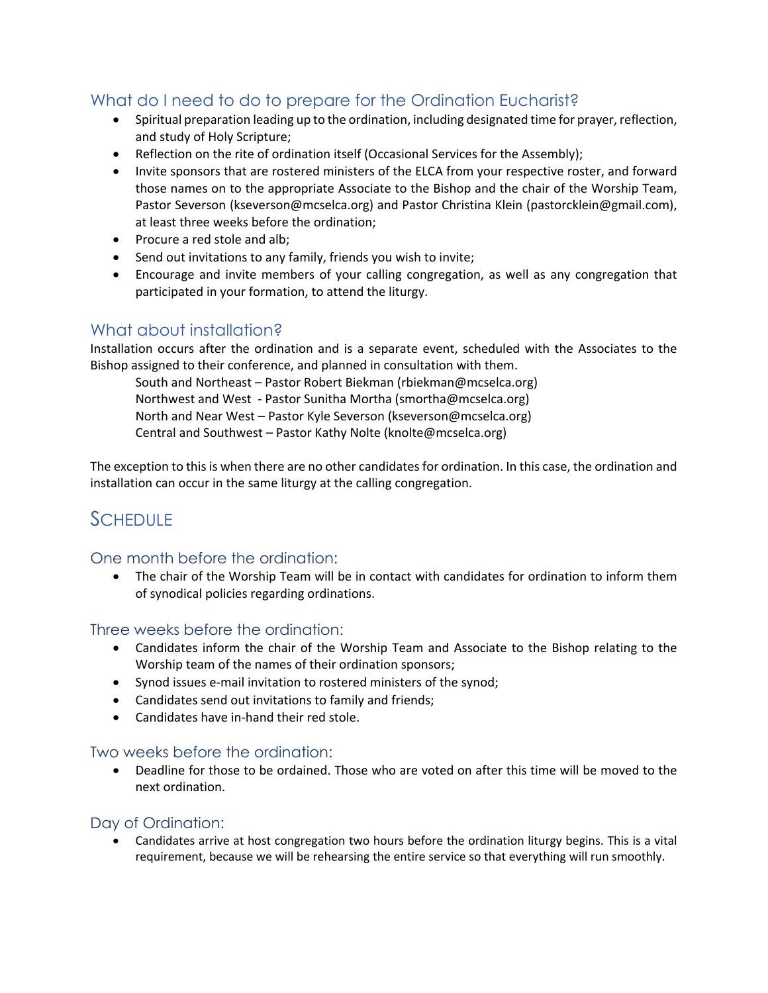#### What do I need to do to prepare for the Ordination Eucharist?

- Spiritual preparation leading up to the ordination, including designated time for prayer, reflection, and study of Holy Scripture;
- Reflection on the rite of ordination itself (Occasional Services for the Assembly);
- Invite sponsors that are rostered ministers of the ELCA from your respective roster, and forward those names on to the appropriate Associate to the Bishop and the chair of the Worship Team, Pastor Severson (kseverson@mcselca.org) and Pastor Christina Klein (pastorcklein@gmail.com), at least three weeks before the ordination;
- Procure a red stole and alb;
- Send out invitations to any family, friends you wish to invite;
- Encourage and invite members of your calling congregation, as well as any congregation that participated in your formation, to attend the liturgy.

#### What about installation?

Installation occurs after the ordination and is a separate event, scheduled with the Associates to the Bishop assigned to their conference, and planned in consultation with them.

South and Northeast – Pastor Robert Biekman (rbiekman@mcselca.org) Northwest and West - Pastor Sunitha Mortha (smortha@mcselca.org) North and Near West – Pastor Kyle Severson (kseverson@mcselca.org) Central and Southwest – Pastor Kathy Nolte (knolte@mcselca.org)

The exception to this is when there are no other candidates for ordination. In this case, the ordination and installation can occur in the same liturgy at the calling congregation.

# **SCHEDULE**

#### One month before the ordination:

• The chair of the Worship Team will be in contact with candidates for ordination to inform them of synodical policies regarding ordinations.

Three weeks before the ordination:

- Candidates inform the chair of the Worship Team and Associate to the Bishop relating to the Worship team of the names of their ordination sponsors;
- Synod issues e-mail invitation to rostered ministers of the synod;
- Candidates send out invitations to family and friends;
- Candidates have in-hand their red stole.

#### Two weeks before the ordination:

• Deadline for those to be ordained. Those who are voted on after this time will be moved to the next ordination.

#### Day of Ordination:

• Candidates arrive at host congregation two hours before the ordination liturgy begins. This is a vital requirement, because we will be rehearsing the entire service so that everything will run smoothly.